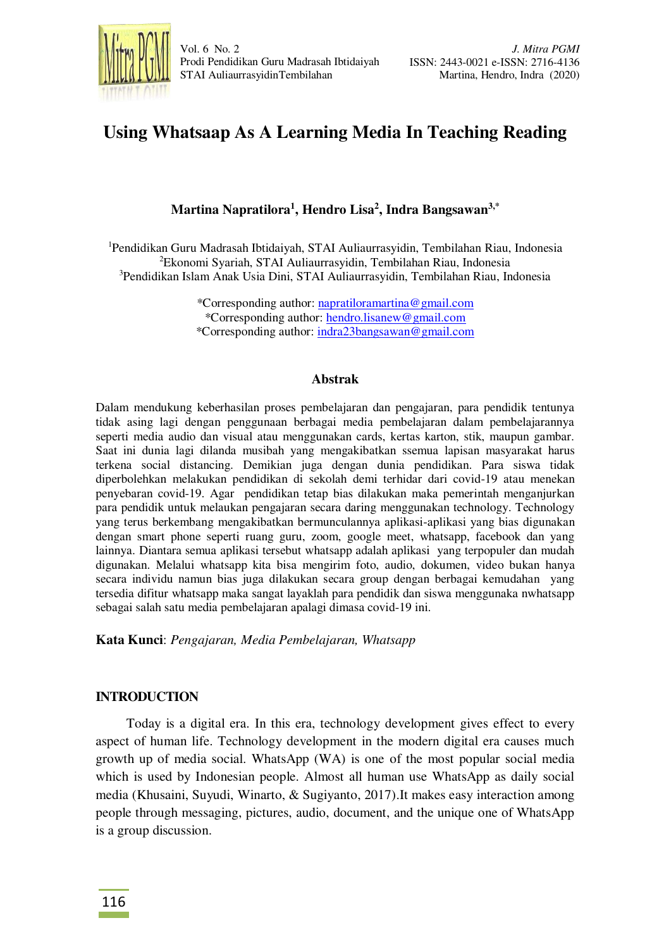

# **Using Whatsaap As A Learning Media In Teaching Reading**

# **Martina Napratilora<sup>1</sup> , Hendro Lisa<sup>2</sup> , Indra Bangsawan3,\***

<sup>1</sup>Pendidikan Guru Madrasah Ibtidaiyah, STAI Auliaurrasyidin, Tembilahan Riau, Indonesia <sup>2</sup>Ekonomi Syariah, STAI Auliaurrasyidin, Tembilahan Riau, Indonesia <sup>3</sup>Pendidikan Islam Anak Usia Dini, STAI Auliaurrasyidin, Tembilahan Riau, Indonesia

> \*Corresponding author: [napratiloramartina@gmail.com](mailto:napratiloramartina@gmail.com) \*Corresponding author: [hendro.lisanew@gmail.com](mailto:hendro.lisanew@gmail.com) \*Corresponding author: [indra23bangsawan@gmail.com](mailto:indra23bangsawan@gmail.com)

#### **Abstrak**

Dalam mendukung keberhasilan proses pembelajaran dan pengajaran, para pendidik tentunya tidak asing lagi dengan penggunaan berbagai media pembelajaran dalam pembelajarannya seperti media audio dan visual atau menggunakan cards, kertas karton, stik, maupun gambar. Saat ini dunia lagi dilanda musibah yang mengakibatkan ssemua lapisan masyarakat harus terkena social distancing. Demikian juga dengan dunia pendidikan. Para siswa tidak diperbolehkan melakukan pendidikan di sekolah demi terhidar dari covid-19 atau menekan penyebaran covid-19. Agar pendidikan tetap bias dilakukan maka pemerintah menganjurkan para pendidik untuk melaukan pengajaran secara daring menggunakan technology. Technology yang terus berkembang mengakibatkan bermunculannya aplikasi-aplikasi yang bias digunakan dengan smart phone seperti ruang guru, zoom, google meet, whatsapp, facebook dan yang lainnya. Diantara semua aplikasi tersebut whatsapp adalah aplikasi yang terpopuler dan mudah digunakan. Melalui whatsapp kita bisa mengirim foto, audio, dokumen, video bukan hanya secara individu namun bias juga dilakukan secara group dengan berbagai kemudahan yang tersedia difitur whatsapp maka sangat layaklah para pendidik dan siswa menggunaka nwhatsapp sebagai salah satu media pembelajaran apalagi dimasa covid-19 ini.

**Kata Kunci**: *Pengajaran, Media Pembelajaran, Whatsapp*

#### **INTRODUCTION**

Today is a digital era. In this era, technology development gives effect to every aspect of human life. Technology development in the modern digital era causes much growth up of media social. WhatsApp (WA) is one of the most popular social media which is used by Indonesian people. Almost all human use WhatsApp as daily social media (Khusaini, Suyudi, Winarto, & Sugiyanto, 2017).It makes easy interaction among people through messaging, pictures, audio, document, and the unique one of WhatsApp is a group discussion.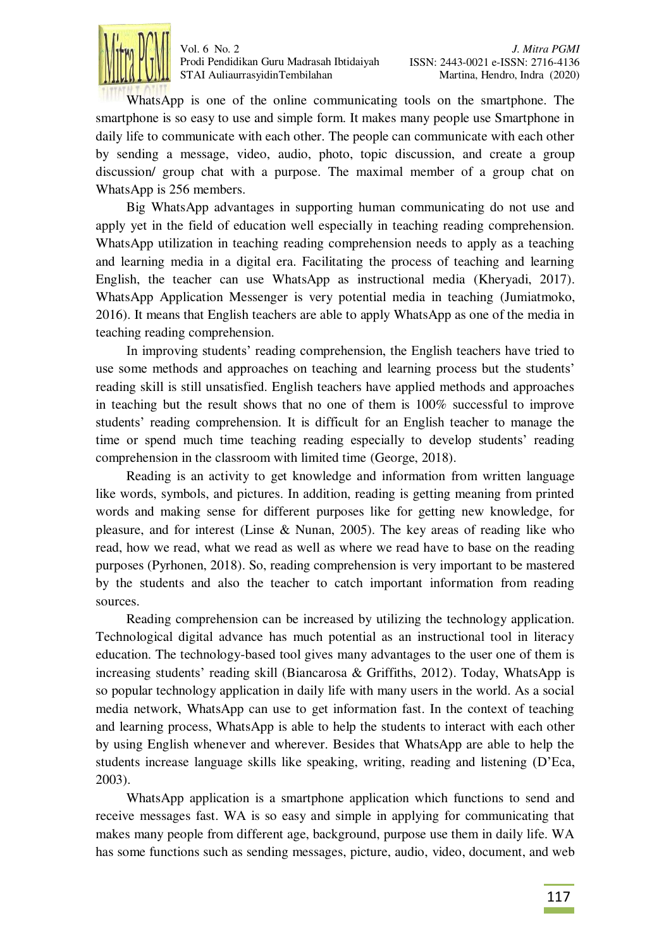

WhatsApp is one of the online communicating tools on the smartphone. The smartphone is so easy to use and simple form. It makes many people use Smartphone in daily life to communicate with each other. The people can communicate with each other by sending a message, video, audio, photo, topic discussion, and create a group discussion/ group chat with a purpose. The maximal member of a group chat on WhatsApp is 256 members.

Big WhatsApp advantages in supporting human communicating do not use and apply yet in the field of education well especially in teaching reading comprehension. WhatsApp utilization in teaching reading comprehension needs to apply as a teaching and learning media in a digital era. Facilitating the process of teaching and learning English, the teacher can use WhatsApp as instructional media (Kheryadi, 2017). WhatsApp Application Messenger is very potential media in teaching (Jumiatmoko, 2016). It means that English teachers are able to apply WhatsApp as one of the media in teaching reading comprehension.

In improving students' reading comprehension, the English teachers have tried to use some methods and approaches on teaching and learning process but the students' reading skill is still unsatisfied. English teachers have applied methods and approaches in teaching but the result shows that no one of them is 100% successful to improve students' reading comprehension. It is difficult for an English teacher to manage the time or spend much time teaching reading especially to develop students' reading comprehension in the classroom with limited time (George, 2018).

Reading is an activity to get knowledge and information from written language like words, symbols, and pictures. In addition, reading is getting meaning from printed words and making sense for different purposes like for getting new knowledge, for pleasure, and for interest (Linse & Nunan, 2005). The key areas of reading like who read, how we read, what we read as well as where we read have to base on the reading purposes (Pyrhonen, 2018). So, reading comprehension is very important to be mastered by the students and also the teacher to catch important information from reading sources.

Reading comprehension can be increased by utilizing the technology application. Technological digital advance has much potential as an instructional tool in literacy education. The technology-based tool gives many advantages to the user one of them is increasing students' reading skill (Biancarosa & Griffiths, 2012). Today, WhatsApp is so popular technology application in daily life with many users in the world. As a social media network, WhatsApp can use to get information fast. In the context of teaching and learning process, WhatsApp is able to help the students to interact with each other by using English whenever and wherever. Besides that WhatsApp are able to help the students increase language skills like speaking, writing, reading and listening (D'Eca, 2003).

WhatsApp application is a smartphone application which functions to send and receive messages fast. WA is so easy and simple in applying for communicating that makes many people from different age, background, purpose use them in daily life. WA has some functions such as sending messages, picture, audio, video, document, and web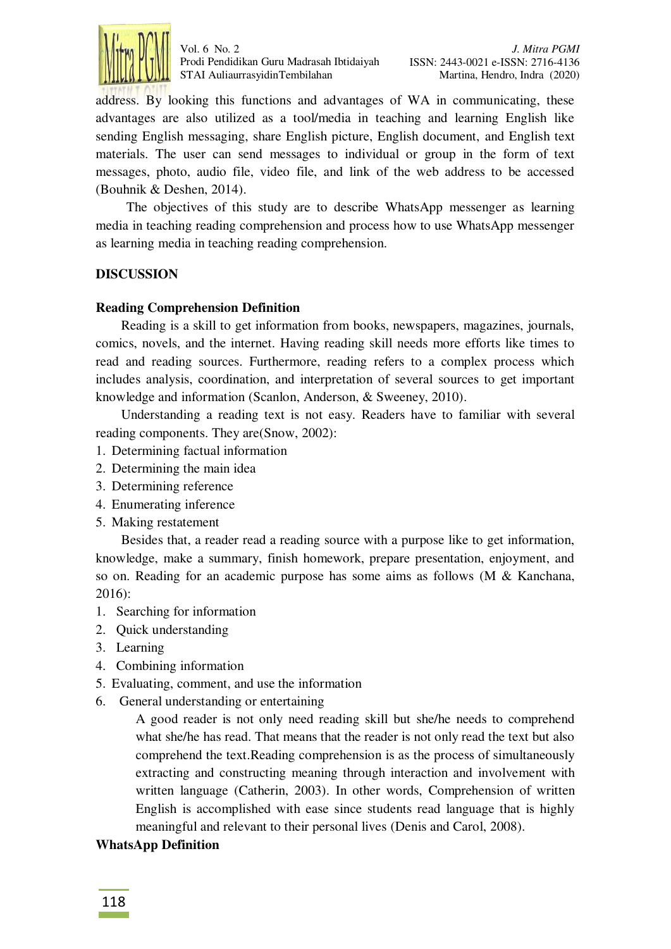

address. By looking this functions and advantages of WA in communicating, these advantages are also utilized as a tool/media in teaching and learning English like sending English messaging, share English picture, English document, and English text materials. The user can send messages to individual or group in the form of text messages, photo, audio file, video file, and link of the web address to be accessed (Bouhnik & Deshen, 2014).

The objectives of this study are to describe WhatsApp messenger as learning media in teaching reading comprehension and process how to use WhatsApp messenger as learning media in teaching reading comprehension.

## **DISCUSSION**

#### **Reading Comprehension Definition**

Reading is a skill to get information from books, newspapers, magazines, journals, comics, novels, and the internet. Having reading skill needs more efforts like times to read and reading sources. Furthermore, reading refers to a complex process which includes analysis, coordination, and interpretation of several sources to get important knowledge and information (Scanlon, Anderson, & Sweeney, 2010).

Understanding a reading text is not easy. Readers have to familiar with several reading components. They are(Snow, 2002):

- 1. Determining factual information
- 2. Determining the main idea
- 3. Determining reference
- 4. Enumerating inference
- 5. Making restatement

Besides that, a reader read a reading source with a purpose like to get information, knowledge, make a summary, finish homework, prepare presentation, enjoyment, and so on. Reading for an academic purpose has some aims as follows (M & Kanchana, 2016):

- 1. Searching for information
- 2. Quick understanding
- 3. Learning
- 4. Combining information
- 5. Evaluating, comment, and use the information
- 6. General understanding or entertaining

A good reader is not only need reading skill but she/he needs to comprehend what she/he has read. That means that the reader is not only read the text but also comprehend the text.Reading comprehension is as the process of simultaneously extracting and constructing meaning through interaction and involvement with written language (Catherin, 2003). In other words, Comprehension of written English is accomplished with ease since students read language that is highly meaningful and relevant to their personal lives (Denis and Carol, 2008).

#### **WhatsApp Definition**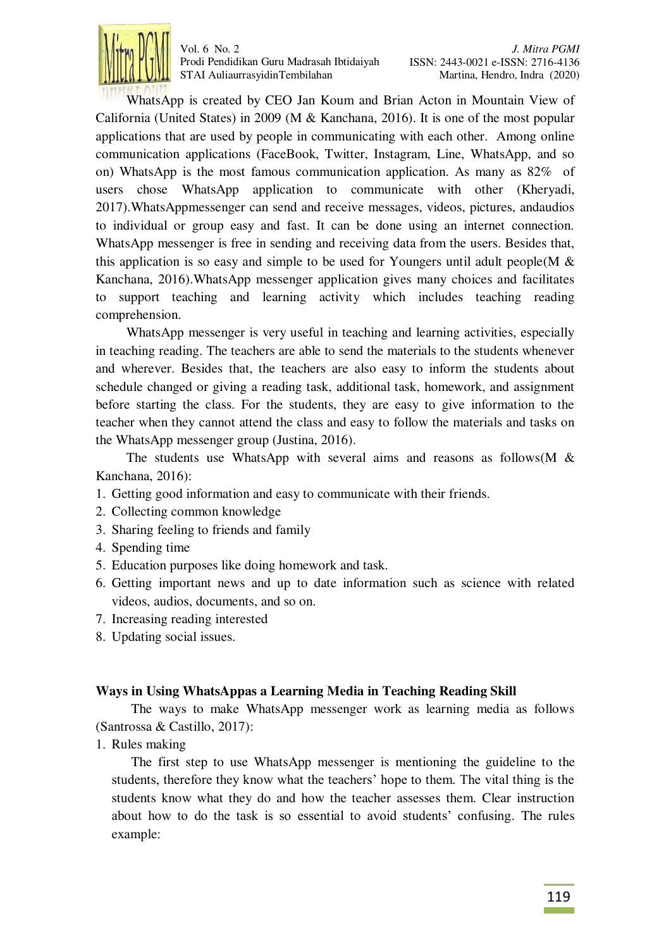

WhatsApp is created by CEO Jan Koum and Brian Acton in Mountain View of California (United States) in 2009 (M & Kanchana, 2016). It is one of the most popular applications that are used by people in communicating with each other. Among online communication applications (FaceBook, Twitter, Instagram, Line, WhatsApp, and so on) WhatsApp is the most famous communication application. As many as 82% of users chose WhatsApp application to communicate with other (Kheryadi, 2017).WhatsAppmessenger can send and receive messages, videos, pictures, andaudios to individual or group easy and fast. It can be done using an internet connection. WhatsApp messenger is free in sending and receiving data from the users. Besides that, this application is so easy and simple to be used for Youngers until adult people(M  $\&$ Kanchana, 2016).WhatsApp messenger application gives many choices and facilitates to support teaching and learning activity which includes teaching reading comprehension.

WhatsApp messenger is very useful in teaching and learning activities, especially in teaching reading. The teachers are able to send the materials to the students whenever and wherever. Besides that, the teachers are also easy to inform the students about schedule changed or giving a reading task, additional task, homework, and assignment before starting the class. For the students, they are easy to give information to the teacher when they cannot attend the class and easy to follow the materials and tasks on the WhatsApp messenger group (Justina, 2016).

The students use WhatsApp with several aims and reasons as follows( $M \&$ Kanchana, 2016):

- 1. Getting good information and easy to communicate with their friends.
- 2. Collecting common knowledge
- 3. Sharing feeling to friends and family
- 4. Spending time
- 5. Education purposes like doing homework and task.
- 6. Getting important news and up to date information such as science with related videos, audios, documents, and so on.
- 7. Increasing reading interested
- 8. Updating social issues.

#### **Ways in Using WhatsAppas a Learning Media in Teaching Reading Skill**

The ways to make WhatsApp messenger work as learning media as follows (Santrossa & Castillo, 2017):

1. Rules making

The first step to use WhatsApp messenger is mentioning the guideline to the students, therefore they know what the teachers' hope to them. The vital thing is the students know what they do and how the teacher assesses them. Clear instruction about how to do the task is so essential to avoid students' confusing. The rules example: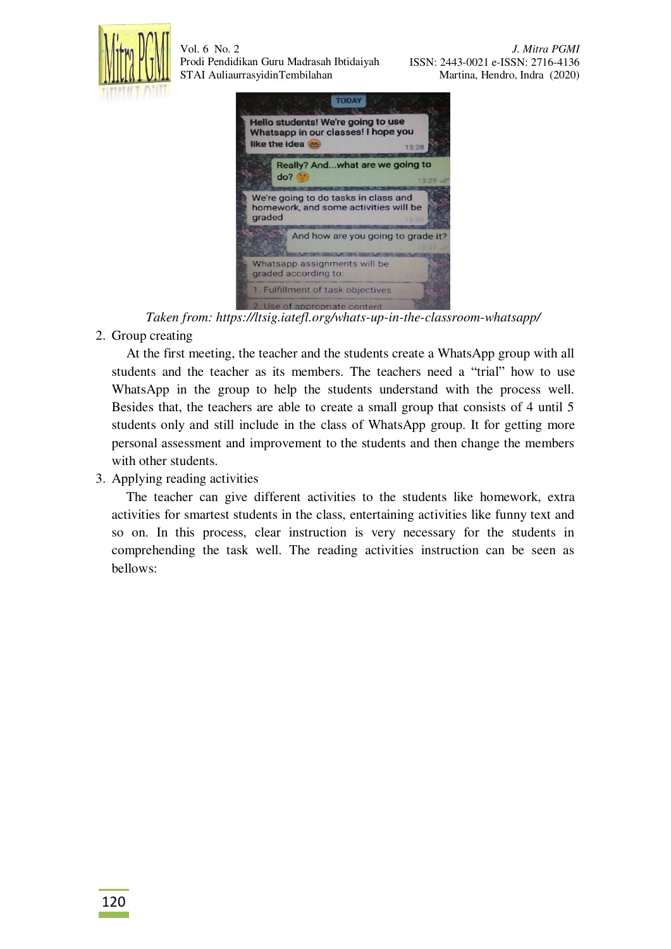





*Taken from: https://ltsig.iatefl.org/whats-up-in-the-classroom-whatsapp/* 

2. Group creating

At the first meeting, the teacher and the students create a WhatsApp group with all students and the teacher as its members. The teachers need a "trial" how to use WhatsApp in the group to help the students understand with the process well. Besides that, the teachers are able to create a small group that consists of 4 until 5 students only and still include in the class of WhatsApp group. It for getting more personal assessment and improvement to the students and then change the members with other students.

3. Applying reading activities

The teacher can give different activities to the students like homework, extra activities for smartest students in the class, entertaining activities like funny text and so on. In this process, clear instruction is very necessary for the students in comprehending the task well. The reading activities instruction can be seen as bellows: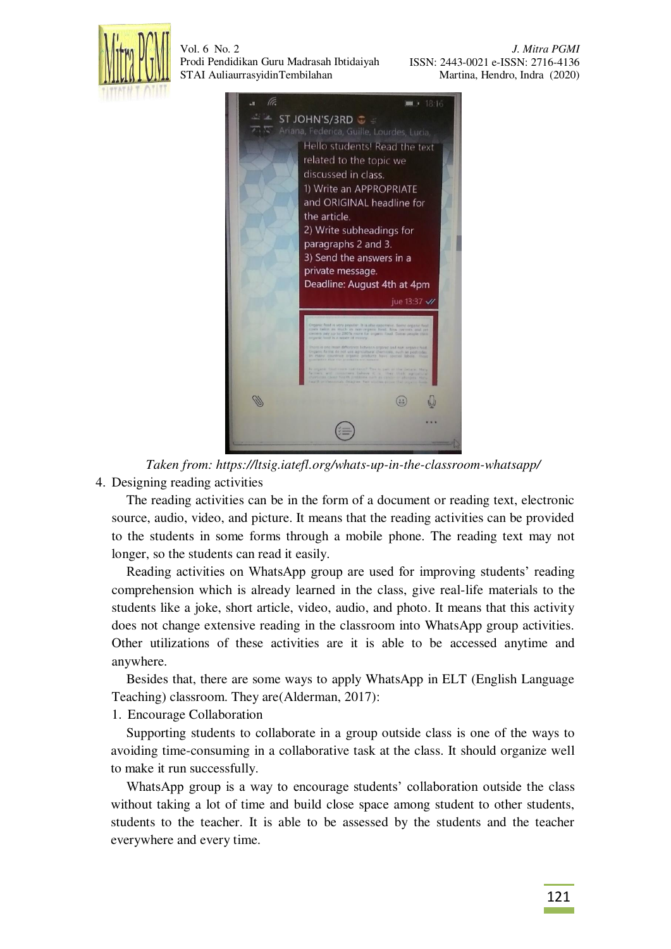

 *J. Mitra PGMI*  ISSN: 2443-0021 e-ISSN: 2716-4136 Martina, Hendro, Indra (2020)



*Taken from: https://ltsig.iatefl.org/whats-up-in-the-classroom-whatsapp/*  4. Designing reading activities

The reading activities can be in the form of a document or reading text, electronic source, audio, video, and picture. It means that the reading activities can be provided to the students in some forms through a mobile phone. The reading text may not longer, so the students can read it easily.

Reading activities on WhatsApp group are used for improving students' reading comprehension which is already learned in the class, give real-life materials to the students like a joke, short article, video, audio, and photo. It means that this activity does not change extensive reading in the classroom into WhatsApp group activities. Other utilizations of these activities are it is able to be accessed anytime and anywhere.

Besides that, there are some ways to apply WhatsApp in ELT (English Language Teaching) classroom. They are(Alderman, 2017):

1. Encourage Collaboration

Supporting students to collaborate in a group outside class is one of the ways to avoiding time-consuming in a collaborative task at the class. It should organize well to make it run successfully.

WhatsApp group is a way to encourage students' collaboration outside the class without taking a lot of time and build close space among student to other students, students to the teacher. It is able to be assessed by the students and the teacher everywhere and every time.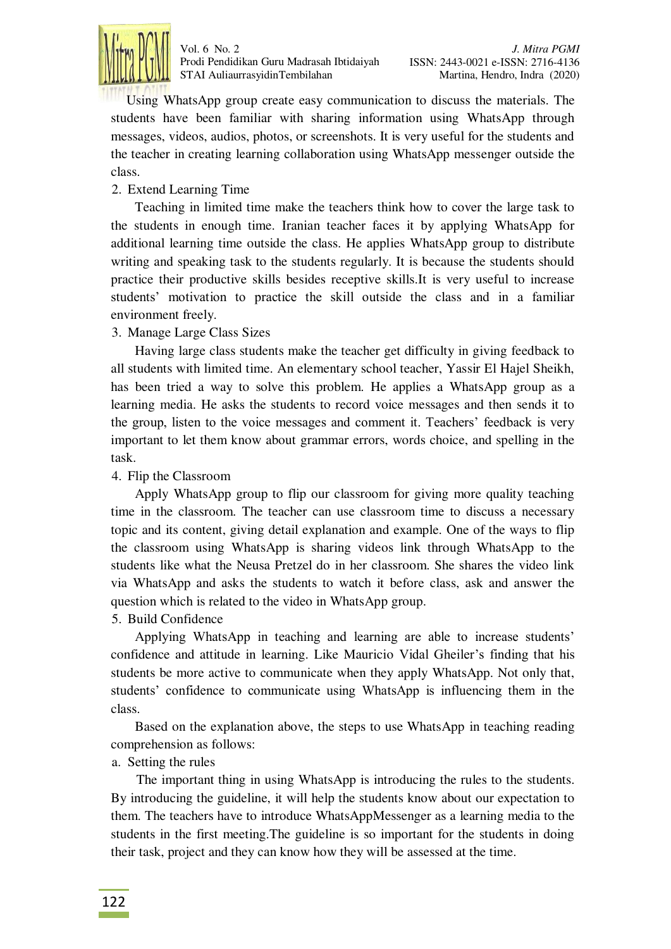

Using WhatsApp group create easy communication to discuss the materials. The students have been familiar with sharing information using WhatsApp through messages, videos, audios, photos, or screenshots. It is very useful for the students and the teacher in creating learning collaboration using WhatsApp messenger outside the class.

### 2. Extend Learning Time

Teaching in limited time make the teachers think how to cover the large task to the students in enough time. Iranian teacher faces it by applying WhatsApp for additional learning time outside the class. He applies WhatsApp group to distribute writing and speaking task to the students regularly. It is because the students should practice their productive skills besides receptive skills.It is very useful to increase students' motivation to practice the skill outside the class and in a familiar environment freely.

## 3. Manage Large Class Sizes

Having large class students make the teacher get difficulty in giving feedback to all students with limited time. An elementary school teacher, Yassir El Hajel Sheikh, has been tried a way to solve this problem. He applies a WhatsApp group as a learning media. He asks the students to record voice messages and then sends it to the group, listen to the voice messages and comment it. Teachers' feedback is very important to let them know about grammar errors, words choice, and spelling in the task.

#### 4. Flip the Classroom

Apply WhatsApp group to flip our classroom for giving more quality teaching time in the classroom. The teacher can use classroom time to discuss a necessary topic and its content, giving detail explanation and example. One of the ways to flip the classroom using WhatsApp is sharing videos link through WhatsApp to the students like what the Neusa Pretzel do in her classroom. She shares the video link via WhatsApp and asks the students to watch it before class, ask and answer the question which is related to the video in WhatsApp group.

#### 5. Build Confidence

Applying WhatsApp in teaching and learning are able to increase students' confidence and attitude in learning. Like Mauricio Vidal Gheiler's finding that his students be more active to communicate when they apply WhatsApp. Not only that, students' confidence to communicate using WhatsApp is influencing them in the class.

Based on the explanation above, the steps to use WhatsApp in teaching reading comprehension as follows:

#### a. Setting the rules

The important thing in using WhatsApp is introducing the rules to the students. By introducing the guideline, it will help the students know about our expectation to them. The teachers have to introduce WhatsAppMessenger as a learning media to the students in the first meeting.The guideline is so important for the students in doing their task, project and they can know how they will be assessed at the time.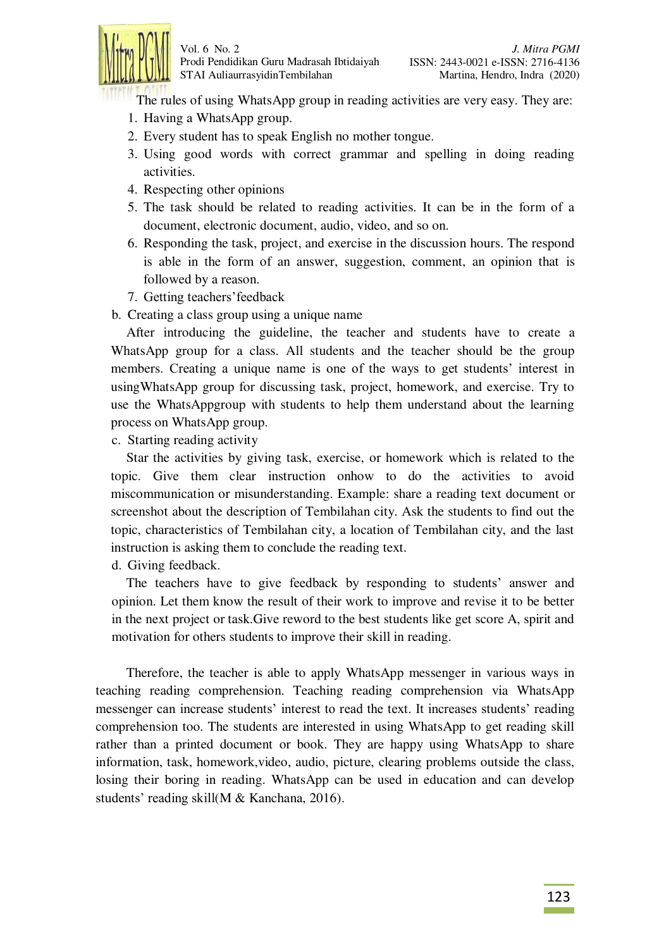

The rules of using WhatsApp group in reading activities are very easy. They are:

- 1. Having a WhatsApp group.
- 2. Every student has to speak English no mother tongue.
- 3. Using good words with correct grammar and spelling in doing reading activities.
- 4. Respecting other opinions
- 5. The task should be related to reading activities. It can be in the form of a document, electronic document, audio, video, and so on.
- 6. Responding the task, project, and exercise in the discussion hours. The respond is able in the form of an answer, suggestion, comment, an opinion that is followed by a reason.
- 7. Getting teachers'feedback
- b. Creating a class group using a unique name

After introducing the guideline, the teacher and students have to create a WhatsApp group for a class. All students and the teacher should be the group members. Creating a unique name is one of the ways to get students' interest in usingWhatsApp group for discussing task, project, homework, and exercise. Try to use the WhatsAppgroup with students to help them understand about the learning process on WhatsApp group.

c. Starting reading activity

Star the activities by giving task, exercise, or homework which is related to the topic. Give them clear instruction onhow to do the activities to avoid miscommunication or misunderstanding. Example: share a reading text document or screenshot about the description of Tembilahan city. Ask the students to find out the topic, characteristics of Tembilahan city, a location of Tembilahan city, and the last instruction is asking them to conclude the reading text.

d. Giving feedback.

The teachers have to give feedback by responding to students' answer and opinion. Let them know the result of their work to improve and revise it to be better in the next project or task.Give reword to the best students like get score A, spirit and motivation for others students to improve their skill in reading.

Therefore, the teacher is able to apply WhatsApp messenger in various ways in teaching reading comprehension. Teaching reading comprehension via WhatsApp messenger can increase students' interest to read the text. It increases students' reading comprehension too. The students are interested in using WhatsApp to get reading skill rather than a printed document or book. They are happy using WhatsApp to share information, task, homework,video, audio, picture, clearing problems outside the class, losing their boring in reading. WhatsApp can be used in education and can develop students' reading skill(M & Kanchana, 2016).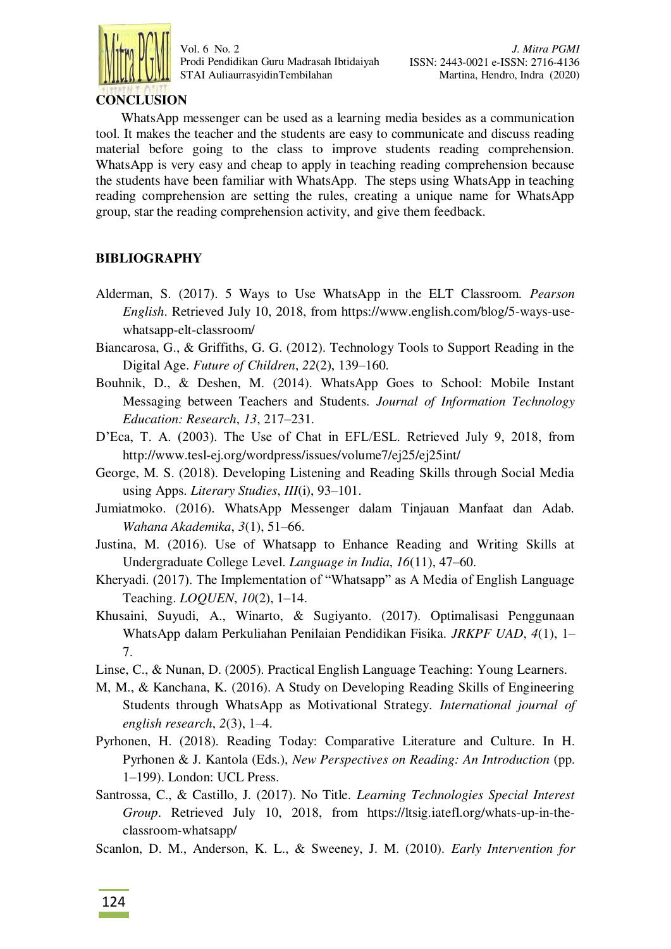

# **CONCLUSION**

WhatsApp messenger can be used as a learning media besides as a communication tool. It makes the teacher and the students are easy to communicate and discuss reading material before going to the class to improve students reading comprehension. WhatsApp is very easy and cheap to apply in teaching reading comprehension because the students have been familiar with WhatsApp. The steps using WhatsApp in teaching reading comprehension are setting the rules, creating a unique name for WhatsApp group, star the reading comprehension activity, and give them feedback.

# **BIBLIOGRAPHY**

- Alderman, S. (2017). 5 Ways to Use WhatsApp in the ELT Classroom. *Pearson English*. Retrieved July 10, 2018, from https://www.english.com/blog/5-ways-usewhatsapp-elt-classroom/
- Biancarosa, G., & Griffiths, G. G. (2012). Technology Tools to Support Reading in the Digital Age. *Future of Children*, *22*(2), 139–160.
- Bouhnik, D., & Deshen, M. (2014). WhatsApp Goes to School: Mobile Instant Messaging between Teachers and Students. *Journal of Information Technology Education: Research*, *13*, 217–231.
- D'Eca, T. A. (2003). The Use of Chat in EFL/ESL. Retrieved July 9, 2018, from http://www.tesl-ej.org/wordpress/issues/volume7/ej25/ej25int/
- George, M. S. (2018). Developing Listening and Reading Skills through Social Media using Apps. *Literary Studies*, *III*(i), 93–101.
- Jumiatmoko. (2016). WhatsApp Messenger dalam Tinjauan Manfaat dan Adab. *Wahana Akademika*, *3*(1), 51–66.
- Justina, M. (2016). Use of Whatsapp to Enhance Reading and Writing Skills at Undergraduate College Level. *Language in India*, *16*(11), 47–60.
- Kheryadi. (2017). The Implementation of "Whatsapp" as A Media of English Language Teaching. *LOQUEN*, *10*(2), 1–14.
- Khusaini, Suyudi, A., Winarto, & Sugiyanto. (2017). Optimalisasi Penggunaan WhatsApp dalam Perkuliahan Penilaian Pendidikan Fisika. *JRKPF UAD*, *4*(1), 1– 7.
- Linse, C., & Nunan, D. (2005). Practical English Language Teaching: Young Learners.
- M, M., & Kanchana, K. (2016). A Study on Developing Reading Skills of Engineering Students through WhatsApp as Motivational Strategy. *International journal of english research*, *2*(3), 1–4.
- Pyrhonen, H. (2018). Reading Today: Comparative Literature and Culture. In H. Pyrhonen & J. Kantola (Eds.), *New Perspectives on Reading: An Introduction* (pp. 1–199). London: UCL Press.
- Santrossa, C., & Castillo, J. (2017). No Title. *Learning Technologies Special Interest Group*. Retrieved July 10, 2018, from https://ltsig.iatefl.org/whats-up-in-theclassroom-whatsapp/
- Scanlon, D. M., Anderson, K. L., & Sweeney, J. M. (2010). *Early Intervention for*